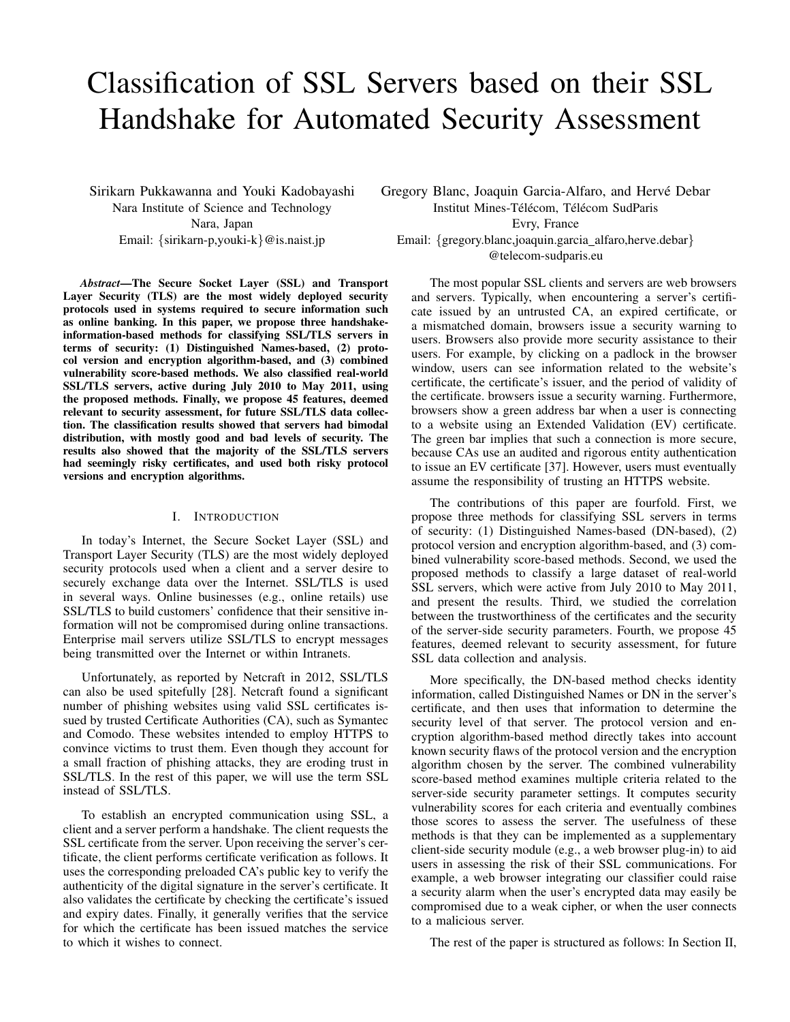# Classification of SSL Servers based on their SSL Handshake for Automated Security Assessment

Sirikarn Pukkawanna and Youki Kadobayashi Nara Institute of Science and Technology Nara, Japan

Email: {sirikarn-p,youki-k}@is.naist.jp

*Abstract*—The Secure Socket Layer (SSL) and Transport Layer Security (TLS) are the most widely deployed security protocols used in systems required to secure information such as online banking. In this paper, we propose three handshakeinformation-based methods for classifying SSL/TLS servers in terms of security: (1) Distinguished Names-based, (2) protocol version and encryption algorithm-based, and (3) combined vulnerability score-based methods. We also classified real-world SSL/TLS servers, active during July 2010 to May 2011, using the proposed methods. Finally, we propose 45 features, deemed relevant to security assessment, for future SSL/TLS data collection. The classification results showed that servers had bimodal distribution, with mostly good and bad levels of security. The results also showed that the majority of the SSL/TLS servers had seemingly risky certificates, and used both risky protocol versions and encryption algorithms.

# I. INTRODUCTION

In today's Internet, the Secure Socket Layer (SSL) and Transport Layer Security (TLS) are the most widely deployed security protocols used when a client and a server desire to securely exchange data over the Internet. SSL/TLS is used in several ways. Online businesses (e.g., online retails) use SSL/TLS to build customers' confidence that their sensitive information will not be compromised during online transactions. Enterprise mail servers utilize SSL/TLS to encrypt messages being transmitted over the Internet or within Intranets.

Unfortunately, as reported by Netcraft in 2012, SSL/TLS can also be used spitefully [28]. Netcraft found a significant number of phishing websites using valid SSL certificates issued by trusted Certificate Authorities (CA), such as Symantec and Comodo. These websites intended to employ HTTPS to convince victims to trust them. Even though they account for a small fraction of phishing attacks, they are eroding trust in SSL/TLS. In the rest of this paper, we will use the term SSL instead of SSL/TLS.

To establish an encrypted communication using SSL, a client and a server perform a handshake. The client requests the SSL certificate from the server. Upon receiving the server's certificate, the client performs certificate verification as follows. It uses the corresponding preloaded CA's public key to verify the authenticity of the digital signature in the server's certificate. It also validates the certificate by checking the certificate's issued and expiry dates. Finally, it generally verifies that the service for which the certificate has been issued matches the service to which it wishes to connect.

Gregory Blanc, Joaquin Garcia-Alfaro, and Hervé Debar Institut Mines-Télécom, Télécom SudParis

Evry, France

Email: {gregory.blanc,joaquin.garcia\_alfaro,herve.debar} @telecom-sudparis.eu

The most popular SSL clients and servers are web browsers and servers. Typically, when encountering a server's certificate issued by an untrusted CA, an expired certificate, or a mismatched domain, browsers issue a security warning to users. Browsers also provide more security assistance to their users. For example, by clicking on a padlock in the browser window, users can see information related to the website's certificate, the certificate's issuer, and the period of validity of the certificate. browsers issue a security warning. Furthermore, browsers show a green address bar when a user is connecting to a website using an Extended Validation (EV) certificate. The green bar implies that such a connection is more secure, because CAs use an audited and rigorous entity authentication to issue an EV certificate [37]. However, users must eventually assume the responsibility of trusting an HTTPS website.

The contributions of this paper are fourfold. First, we propose three methods for classifying SSL servers in terms of security: (1) Distinguished Names-based (DN-based), (2) protocol version and encryption algorithm-based, and (3) combined vulnerability score-based methods. Second, we used the proposed methods to classify a large dataset of real-world SSL servers, which were active from July 2010 to May 2011, and present the results. Third, we studied the correlation between the trustworthiness of the certificates and the security of the server-side security parameters. Fourth, we propose 45 features, deemed relevant to security assessment, for future SSL data collection and analysis.

More specifically, the DN-based method checks identity information, called Distinguished Names or DN in the server's certificate, and then uses that information to determine the security level of that server. The protocol version and encryption algorithm-based method directly takes into account known security flaws of the protocol version and the encryption algorithm chosen by the server. The combined vulnerability score-based method examines multiple criteria related to the server-side security parameter settings. It computes security vulnerability scores for each criteria and eventually combines those scores to assess the server. The usefulness of these methods is that they can be implemented as a supplementary client-side security module (e.g., a web browser plug-in) to aid users in assessing the risk of their SSL communications. For example, a web browser integrating our classifier could raise a security alarm when the user's encrypted data may easily be compromised due to a weak cipher, or when the user connects to a malicious server.

The rest of the paper is structured as follows: In Section II,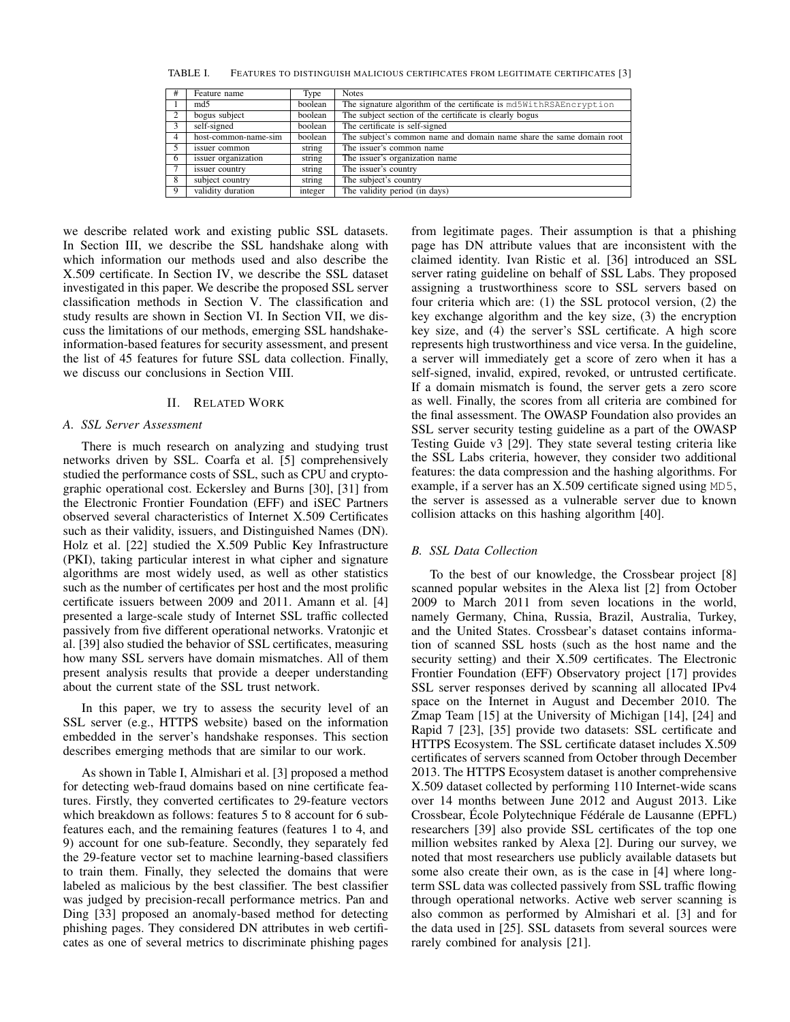| #              | Feature name         | Type    | <b>Notes</b>                                                         |
|----------------|----------------------|---------|----------------------------------------------------------------------|
|                | md <sub>5</sub>      | boolean | The signature algorithm of the certificate is md5WithRSAEncryption   |
| $\overline{c}$ | bogus subject        | boolean | The subject section of the certificate is clearly bogus              |
|                | self-signed          | boolean | The certificate is self-signed                                       |
| 4              | host-common-name-sim | boolean | The subject's common name and domain name share the same domain root |
|                | issuer common        | string  | The issuer's common name                                             |
| 6              | issuer organization  | string  | The issuer's organization name                                       |
|                | issuer country       | string  | The issuer's country                                                 |
| 8              | subject country      | string  | The subject's country                                                |
| $\overline{9}$ | validity duration    | integer | The validity period (in days)                                        |

TABLE I. FEATURES TO DISTINGUISH MALICIOUS CERTIFICATES FROM LEGITIMATE CERTIFICATES [3]

we describe related work and existing public SSL datasets. In Section III, we describe the SSL handshake along with which information our methods used and also describe the X.509 certificate. In Section IV, we describe the SSL dataset investigated in this paper. We describe the proposed SSL server classification methods in Section V. The classification and study results are shown in Section VI. In Section VII, we discuss the limitations of our methods, emerging SSL handshakeinformation-based features for security assessment, and present the list of 45 features for future SSL data collection. Finally, we discuss our conclusions in Section VIII.

## II. RELATED WORK

#### *A. SSL Server Assessment*

There is much research on analyzing and studying trust networks driven by SSL. Coarfa et al. [5] comprehensively studied the performance costs of SSL, such as CPU and cryptographic operational cost. Eckersley and Burns [30], [31] from the Electronic Frontier Foundation (EFF) and iSEC Partners observed several characteristics of Internet X.509 Certificates such as their validity, issuers, and Distinguished Names (DN). Holz et al. [22] studied the X.509 Public Key Infrastructure (PKI), taking particular interest in what cipher and signature algorithms are most widely used, as well as other statistics such as the number of certificates per host and the most prolific certificate issuers between 2009 and 2011. Amann et al. [4] presented a large-scale study of Internet SSL traffic collected passively from five different operational networks. Vratonjic et al. [39] also studied the behavior of SSL certificates, measuring how many SSL servers have domain mismatches. All of them present analysis results that provide a deeper understanding about the current state of the SSL trust network.

In this paper, we try to assess the security level of an SSL server (e.g., HTTPS website) based on the information embedded in the server's handshake responses. This section describes emerging methods that are similar to our work.

As shown in Table I, Almishari et al. [3] proposed a method for detecting web-fraud domains based on nine certificate features. Firstly, they converted certificates to 29-feature vectors which breakdown as follows: features 5 to 8 account for 6 subfeatures each, and the remaining features (features 1 to 4, and 9) account for one sub-feature. Secondly, they separately fed the 29-feature vector set to machine learning-based classifiers to train them. Finally, they selected the domains that were labeled as malicious by the best classifier. The best classifier was judged by precision-recall performance metrics. Pan and Ding [33] proposed an anomaly-based method for detecting phishing pages. They considered DN attributes in web certificates as one of several metrics to discriminate phishing pages

from legitimate pages. Their assumption is that a phishing page has DN attribute values that are inconsistent with the claimed identity. Ivan Ristic et al. [36] introduced an SSL server rating guideline on behalf of SSL Labs. They proposed assigning a trustworthiness score to SSL servers based on four criteria which are: (1) the SSL protocol version, (2) the key exchange algorithm and the key size, (3) the encryption key size, and (4) the server's SSL certificate. A high score represents high trustworthiness and vice versa. In the guideline, a server will immediately get a score of zero when it has a self-signed, invalid, expired, revoked, or untrusted certificate. If a domain mismatch is found, the server gets a zero score as well. Finally, the scores from all criteria are combined for the final assessment. The OWASP Foundation also provides an SSL server security testing guideline as a part of the OWASP Testing Guide v3 [29]. They state several testing criteria like the SSL Labs criteria, however, they consider two additional features: the data compression and the hashing algorithms. For example, if a server has an X.509 certificate signed using MD5, the server is assessed as a vulnerable server due to known collision attacks on this hashing algorithm [40].

# *B. SSL Data Collection*

To the best of our knowledge, the Crossbear project [8] scanned popular websites in the Alexa list [2] from October 2009 to March 2011 from seven locations in the world, namely Germany, China, Russia, Brazil, Australia, Turkey, and the United States. Crossbear's dataset contains information of scanned SSL hosts (such as the host name and the security setting) and their X.509 certificates. The Electronic Frontier Foundation (EFF) Observatory project [17] provides SSL server responses derived by scanning all allocated IPv4 space on the Internet in August and December 2010. The Zmap Team [15] at the University of Michigan [14], [24] and Rapid 7 [23], [35] provide two datasets: SSL certificate and HTTPS Ecosystem. The SSL certificate dataset includes X.509 certificates of servers scanned from October through December 2013. The HTTPS Ecosystem dataset is another comprehensive X.509 dataset collected by performing 110 Internet-wide scans over 14 months between June 2012 and August 2013. Like Crossbear, École Polytechnique Fédérale de Lausanne (EPFL) researchers [39] also provide SSL certificates of the top one million websites ranked by Alexa [2]. During our survey, we noted that most researchers use publicly available datasets but some also create their own, as is the case in [4] where longterm SSL data was collected passively from SSL traffic flowing through operational networks. Active web server scanning is also common as performed by Almishari et al. [3] and for the data used in [25]. SSL datasets from several sources were rarely combined for analysis [21].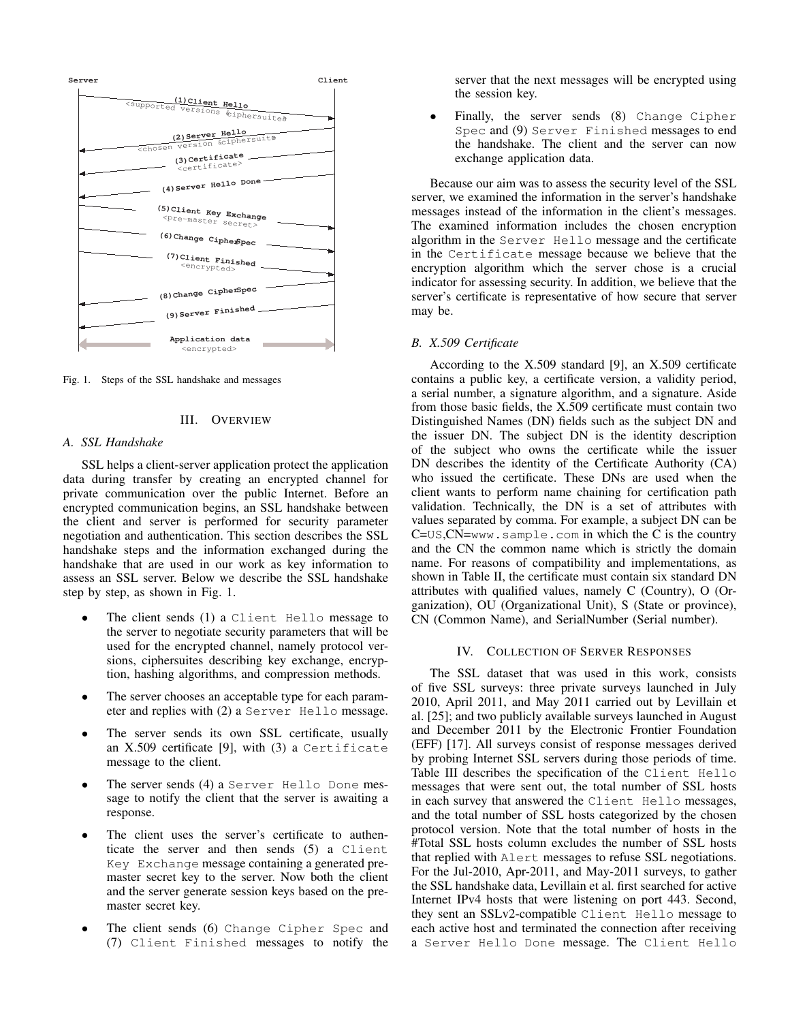

Fig. 1. Steps of the SSL handshake and messages

#### III. OVERVIEW

## *A. SSL Handshake*

SSL helps a client-server application protect the application data during transfer by creating an encrypted channel for private communication over the public Internet. Before an encrypted communication begins, an SSL handshake between the client and server is performed for security parameter negotiation and authentication. This section describes the SSL handshake steps and the information exchanged during the handshake that are used in our work as key information to assess an SSL server. Below we describe the SSL handshake step by step, as shown in Fig. 1.

- The client sends (1) a Client Hello message to the server to negotiate security parameters that will be used for the encrypted channel, namely protocol versions, ciphersuites describing key exchange, encryption, hashing algorithms, and compression methods.
- The server chooses an acceptable type for each parameter and replies with (2) a Server Hello message.
- The server sends its own SSL certificate, usually an X.509 certificate [9], with (3) a Certificate message to the client.
- The server sends (4) a Server Hello Done message to notify the client that the server is awaiting a response.
- The client uses the server's certificate to authenticate the server and then sends (5) a Client Key Exchange message containing a generated premaster secret key to the server. Now both the client and the server generate session keys based on the premaster secret key.
- The client sends (6) Change Cipher Spec and (7) Client Finished messages to notify the

server that the next messages will be encrypted using the session key.

• Finally, the server sends (8) Change Cipher Spec and (9) Server Finished messages to end the handshake. The client and the server can now exchange application data.

Because our aim was to assess the security level of the SSL server, we examined the information in the server's handshake messages instead of the information in the client's messages. The examined information includes the chosen encryption algorithm in the Server Hello message and the certificate in the Certificate message because we believe that the encryption algorithm which the server chose is a crucial indicator for assessing security. In addition, we believe that the server's certificate is representative of how secure that server may be.

#### *B. X.509 Certificate*

According to the X.509 standard [9], an X.509 certificate contains a public key, a certificate version, a validity period, a serial number, a signature algorithm, and a signature. Aside from those basic fields, the X.509 certificate must contain two Distinguished Names (DN) fields such as the subject DN and the issuer DN. The subject DN is the identity description of the subject who owns the certificate while the issuer DN describes the identity of the Certificate Authority (CA) who issued the certificate. These DNs are used when the client wants to perform name chaining for certification path validation. Technically, the DN is a set of attributes with values separated by comma. For example, a subject DN can be C=US,CN=www.sample.com in which the C is the country and the CN the common name which is strictly the domain name. For reasons of compatibility and implementations, as shown in Table II, the certificate must contain six standard DN attributes with qualified values, namely C (Country), O (Organization), OU (Organizational Unit), S (State or province), CN (Common Name), and SerialNumber (Serial number).

## IV. COLLECTION OF SERVER RESPONSES

The SSL dataset that was used in this work, consists of five SSL surveys: three private surveys launched in July 2010, April 2011, and May 2011 carried out by Levillain et al. [25]; and two publicly available surveys launched in August and December 2011 by the Electronic Frontier Foundation (EFF) [17]. All surveys consist of response messages derived by probing Internet SSL servers during those periods of time. Table III describes the specification of the Client Hello messages that were sent out, the total number of SSL hosts in each survey that answered the Client Hello messages, and the total number of SSL hosts categorized by the chosen protocol version. Note that the total number of hosts in the #Total SSL hosts column excludes the number of SSL hosts that replied with Alert messages to refuse SSL negotiations. For the Jul-2010, Apr-2011, and May-2011 surveys, to gather the SSL handshake data, Levillain et al. first searched for active Internet IPv4 hosts that were listening on port 443. Second, they sent an SSLv2-compatible Client Hello message to each active host and terminated the connection after receiving a Server Hello Done message. The Client Hello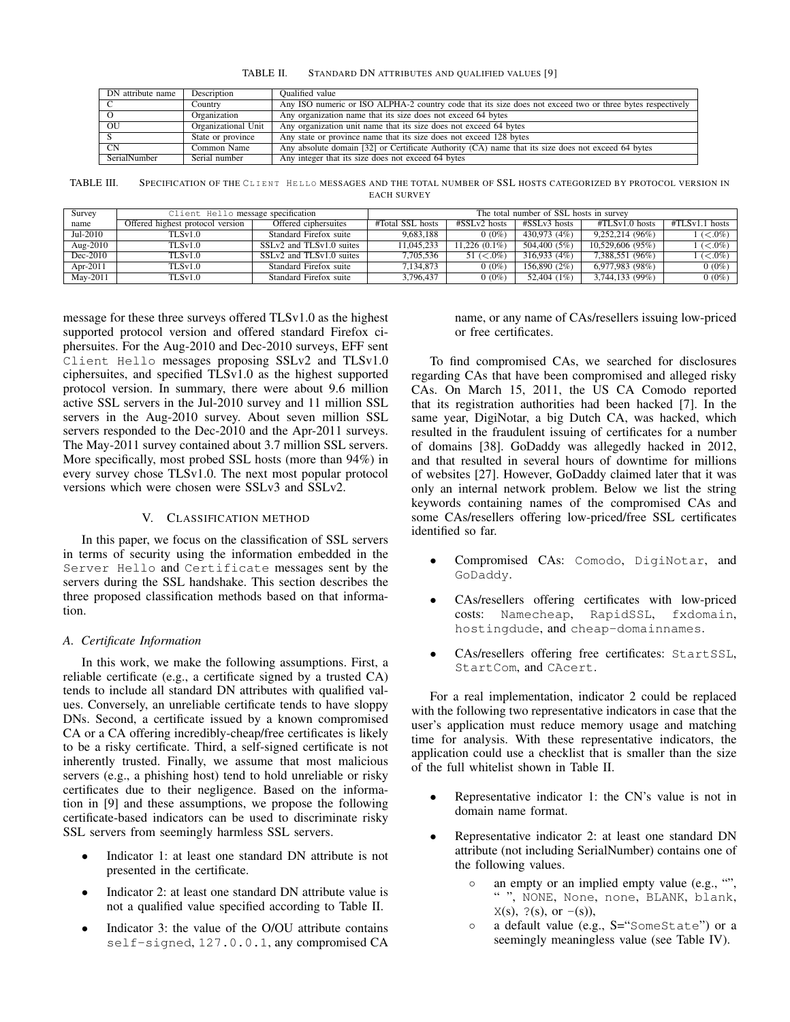| STANDARD DN ATTRIBUTES AND QUALIFIED VALUES [9]<br>TABLE II. |  |  |  |
|--------------------------------------------------------------|--|--|--|
|--------------------------------------------------------------|--|--|--|

| DN attribute name | Description         | Oualified value                                                                                           |
|-------------------|---------------------|-----------------------------------------------------------------------------------------------------------|
|                   | Country             | Any ISO numeric or ISO ALPHA-2 country code that its size does not exceed two or three bytes respectively |
|                   | Organization        | Any organization name that its size does not exceed 64 bytes                                              |
| OU                | Organizational Unit | Any organization unit name that its size does not exceed 64 bytes                                         |
|                   | State or province   | Any state or province name that its size does not exceed 128 bytes                                        |
| <b>CN</b>         | Common Name         | Any absolute domain [32] or Certificate Authority (CA) name that its size does not exceed 64 bytes        |
| SerialNumber      | Serial number       | Any integer that its size does not exceed 64 bytes                                                        |

TABLE III. SPECIFICATION OF THE CLIENT HELLO MESSAGES AND THE TOTAL NUMBER OF SSL HOSTS CATEGORIZED BY PROTOCOL VERSION IN EACH SURVEY

| Survey      |                                  | The total number of SSL hosts in survey<br>Client Hello message specification |                  |                 |              |                         |                           |
|-------------|----------------------------------|-------------------------------------------------------------------------------|------------------|-----------------|--------------|-------------------------|---------------------------|
| name        | Offered highest protocol version | Offered ciphersuites                                                          | #Total SSL hosts | #SSLv2 hosts    | #SSLv3 hosts | $\text{HTLSv1.0 hosts}$ | $\textsf{HTLSv1.1}$ hosts |
| Jul-2010    | TLSv1.0                          | Standard Firefox suite                                                        | 9.683.188        | $0(0\%)$        | 430,973 (4%) | $9.252.214(96\%)$       | $(<.0\%)$                 |
| Aug- $2010$ | TLSv1.0                          | SSLv2 and TLSv1.0 suites                                                      | 11,045,233       | $11.226(0.1\%)$ | 504,400 (5%) | 10,529,606 (95%)        | $(<.0\%)$                 |
| $Dec-2010$  | TLSv1.0                          | SSLv2 and TLSv1.0 suites                                                      | 7,705,536        | $51 (< .0\%)$   | 316,933(4%)  | 7,388,551 (96%)         | $(<.0\%)$                 |
| Apr-2011    | TLSv1.0                          | Standard Firefox suite                                                        | 7.134.873        | $0(0\%)$        | 156,890 (2%) | 6.977.983(98%)          | $0(0\%)$                  |
| May-2011    | TLSv1.0                          | Standard Firefox suite                                                        | 3,796,437        | $0(0\%)$        | 52,404 (1\%) | 3,744,133 (99%)         | $0(0\%)$                  |

message for these three surveys offered TLSv1.0 as the highest supported protocol version and offered standard Firefox ciphersuites. For the Aug-2010 and Dec-2010 surveys, EFF sent Client Hello messages proposing SSLv2 and TLSv1.0 ciphersuites, and specified TLSv1.0 as the highest supported protocol version. In summary, there were about 9.6 million active SSL servers in the Jul-2010 survey and 11 million SSL servers in the Aug-2010 survey. About seven million SSL servers responded to the Dec-2010 and the Apr-2011 surveys. The May-2011 survey contained about 3.7 million SSL servers. More specifically, most probed SSL hosts (more than 94%) in every survey chose TLSv1.0. The next most popular protocol versions which were chosen were SSLv3 and SSLv2.

# V. CLASSIFICATION METHOD

In this paper, we focus on the classification of SSL servers in terms of security using the information embedded in the Server Hello and Certificate messages sent by the servers during the SSL handshake. This section describes the three proposed classification methods based on that information.

# *A. Certificate Information*

In this work, we make the following assumptions. First, a reliable certificate (e.g., a certificate signed by a trusted CA) tends to include all standard DN attributes with qualified values. Conversely, an unreliable certificate tends to have sloppy DNs. Second, a certificate issued by a known compromised CA or a CA offering incredibly-cheap/free certificates is likely to be a risky certificate. Third, a self-signed certificate is not inherently trusted. Finally, we assume that most malicious servers (e.g., a phishing host) tend to hold unreliable or risky certificates due to their negligence. Based on the information in [9] and these assumptions, we propose the following certificate-based indicators can be used to discriminate risky SSL servers from seemingly harmless SSL servers.

- Indicator 1: at least one standard DN attribute is not presented in the certificate.
- Indicator 2: at least one standard DN attribute value is not a qualified value specified according to Table II.
- Indicator 3: the value of the O/OU attribute contains self-signed, 127.0.0.1, any compromised CA

name, or any name of CAs/resellers issuing low-priced or free certificates.

To find compromised CAs, we searched for disclosures regarding CAs that have been compromised and alleged risky CAs. On March 15, 2011, the US CA Comodo reported that its registration authorities had been hacked [7]. In the same year, DigiNotar, a big Dutch CA, was hacked, which resulted in the fraudulent issuing of certificates for a number of domains [38]. GoDaddy was allegedly hacked in 2012, and that resulted in several hours of downtime for millions of websites [27]. However, GoDaddy claimed later that it was only an internal network problem. Below we list the string keywords containing names of the compromised CAs and some CAs/resellers offering low-priced/free SSL certificates identified so far.

- Compromised CAs: Comodo, DigiNotar, and GoDaddy.
- CAs/resellers offering certificates with low-priced costs: Namecheap, RapidSSL, fxdomain, hostingdude, and cheap-domainnames.
- CAs/resellers offering free certificates: StartSSL, StartCom, and CAcert.

For a real implementation, indicator 2 could be replaced with the following two representative indicators in case that the user's application must reduce memory usage and matching time for analysis. With these representative indicators, the application could use a checklist that is smaller than the size of the full whitelist shown in Table II.

- Representative indicator 1: the CN's value is not in domain name format.
- Representative indicator 2: at least one standard DN attribute (not including SerialNumber) contains one of the following values.
	- an empty or an implied empty value (e.g., "", " ", NONE, None, none, BLANK, blank,  $X(s)$ , ?(s), or  $-(s)$ ),
	- a default value (e.g., S="SomeState") or a seemingly meaningless value (see Table IV).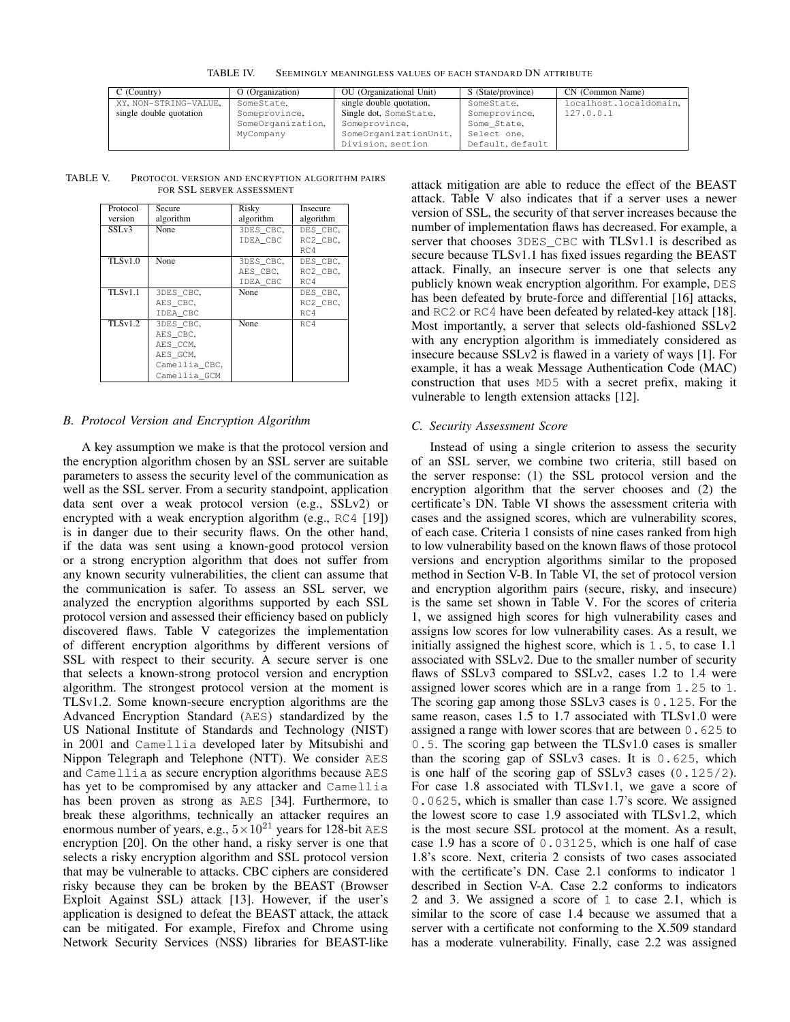TABLE IV. SEEMINGLY MEANINGLESS VALUES OF EACH STANDARD DN ATTRIBUTE

| $C$ (Country)           | O (Organization)  | OU (Organizational Unit) | S (State/province) | CN (Common Name)       |
|-------------------------|-------------------|--------------------------|--------------------|------------------------|
| XY, NON-STRING-VALUE,   | SomeState,        | single double quotation, | SomeState,         | localhost.localdomain. |
| single double quotation | Someprovince,     | Single dot, SomeState,   | Someprovince,      | 127.0.0.1              |
|                         | SomeOrganization, | Someprovince,            | Some State,        |                        |
|                         | MyCompany         | SomeOrganizationUnit,    | Select one.        |                        |
|                         |                   | Division, section        | Default.default    |                        |

TABLE V. PROTOCOL VERSION AND ENCRYPTION ALGORITHM PAIRS FOR SSL SERVER ASSESSMENT

| Protocol<br>version | Secure<br>algorithm                                                            | <b>Risky</b><br>algorithm         | Insecure<br>algorithm       |
|---------------------|--------------------------------------------------------------------------------|-----------------------------------|-----------------------------|
| $SSI_v3$            | None                                                                           | 3DES CBC.<br>IDEA CBC             | DES CBC.<br>RC2 CBC.<br>RC4 |
| TLSv1.0             | None                                                                           | 3DES CBC.<br>AES CBC.<br>IDEA CBC | DES CBC.<br>RC2 CBC.<br>RC4 |
| TLSv1.1             | 3DES CBC.<br>AES CBC.<br>IDEA CBC                                              | None                              | DES CBC.<br>RC2 CBC.<br>RC4 |
| TLSv1.2             | 3DES CBC.<br>AES CBC.<br>AES_CCM,<br>AES_GCM,<br>Camellia CBC.<br>Camellia GCM | None                              | RC4                         |

## *B. Protocol Version and Encryption Algorithm*

A key assumption we make is that the protocol version and the encryption algorithm chosen by an SSL server are suitable parameters to assess the security level of the communication as well as the SSL server. From a security standpoint, application data sent over a weak protocol version (e.g., SSLv2) or encrypted with a weak encryption algorithm (e.g., RC4 [19]) is in danger due to their security flaws. On the other hand, if the data was sent using a known-good protocol version or a strong encryption algorithm that does not suffer from any known security vulnerabilities, the client can assume that the communication is safer. To assess an SSL server, we analyzed the encryption algorithms supported by each SSL protocol version and assessed their efficiency based on publicly discovered flaws. Table V categorizes the implementation of different encryption algorithms by different versions of SSL with respect to their security. A secure server is one that selects a known-strong protocol version and encryption algorithm. The strongest protocol version at the moment is TLSv1.2. Some known-secure encryption algorithms are the Advanced Encryption Standard (AES) standardized by the US National Institute of Standards and Technology (NIST) in 2001 and Camellia developed later by Mitsubishi and Nippon Telegraph and Telephone (NTT). We consider AES and Camellia as secure encryption algorithms because AES has yet to be compromised by any attacker and Camellia has been proven as strong as AES [34]. Furthermore, to break these algorithms, technically an attacker requires an enormous number of years, e.g.,  $5 \times 10^{21}$  years for 128-bit AES encryption [20]. On the other hand, a risky server is one that selects a risky encryption algorithm and SSL protocol version that may be vulnerable to attacks. CBC ciphers are considered risky because they can be broken by the BEAST (Browser Exploit Against SSL) attack [13]. However, if the user's application is designed to defeat the BEAST attack, the attack can be mitigated. For example, Firefox and Chrome using Network Security Services (NSS) libraries for BEAST-like attack mitigation are able to reduce the effect of the BEAST attack. Table V also indicates that if a server uses a newer version of SSL, the security of that server increases because the number of implementation flaws has decreased. For example, a server that chooses 3DES\_CBC with TLSv1.1 is described as secure because TLSv1.1 has fixed issues regarding the BEAST attack. Finally, an insecure server is one that selects any publicly known weak encryption algorithm. For example, DES has been defeated by brute-force and differential [16] attacks, and RC2 or RC4 have been defeated by related-key attack [18]. Most importantly, a server that selects old-fashioned SSLv2 with any encryption algorithm is immediately considered as insecure because SSLv2 is flawed in a variety of ways [1]. For example, it has a weak Message Authentication Code (MAC) construction that uses MD5 with a secret prefix, making it vulnerable to length extension attacks [12].

# *C. Security Assessment Score*

Instead of using a single criterion to assess the security of an SSL server, we combine two criteria, still based on the server response: (1) the SSL protocol version and the encryption algorithm that the server chooses and (2) the certificate's DN. Table VI shows the assessment criteria with cases and the assigned scores, which are vulnerability scores, of each case. Criteria 1 consists of nine cases ranked from high to low vulnerability based on the known flaws of those protocol versions and encryption algorithms similar to the proposed method in Section V-B. In Table VI, the set of protocol version and encryption algorithm pairs (secure, risky, and insecure) is the same set shown in Table V. For the scores of criteria 1, we assigned high scores for high vulnerability cases and assigns low scores for low vulnerability cases. As a result, we initially assigned the highest score, which is 1.5, to case 1.1 associated with SSLv2. Due to the smaller number of security flaws of SSLv3 compared to SSLv2, cases 1.2 to 1.4 were assigned lower scores which are in a range from 1.25 to 1. The scoring gap among those SSLv3 cases is 0.125. For the same reason, cases 1.5 to 1.7 associated with TLSv1.0 were assigned a range with lower scores that are between 0.625 to 0.5. The scoring gap between the TLSv1.0 cases is smaller than the scoring gap of SSLv3 cases. It is 0.625, which is one half of the scoring gap of SSLv3 cases (0.125/2). For case 1.8 associated with TLSv1.1, we gave a score of 0.0625, which is smaller than case 1.7's score. We assigned the lowest score to case 1.9 associated with TLSv1.2, which is the most secure SSL protocol at the moment. As a result, case 1.9 has a score of 0.03125, which is one half of case 1.8's score. Next, criteria 2 consists of two cases associated with the certificate's DN. Case 2.1 conforms to indicator 1 described in Section V-A. Case 2.2 conforms to indicators 2 and 3. We assigned a score of 1 to case 2.1, which is similar to the score of case 1.4 because we assumed that a server with a certificate not conforming to the X.509 standard has a moderate vulnerability. Finally, case 2.2 was assigned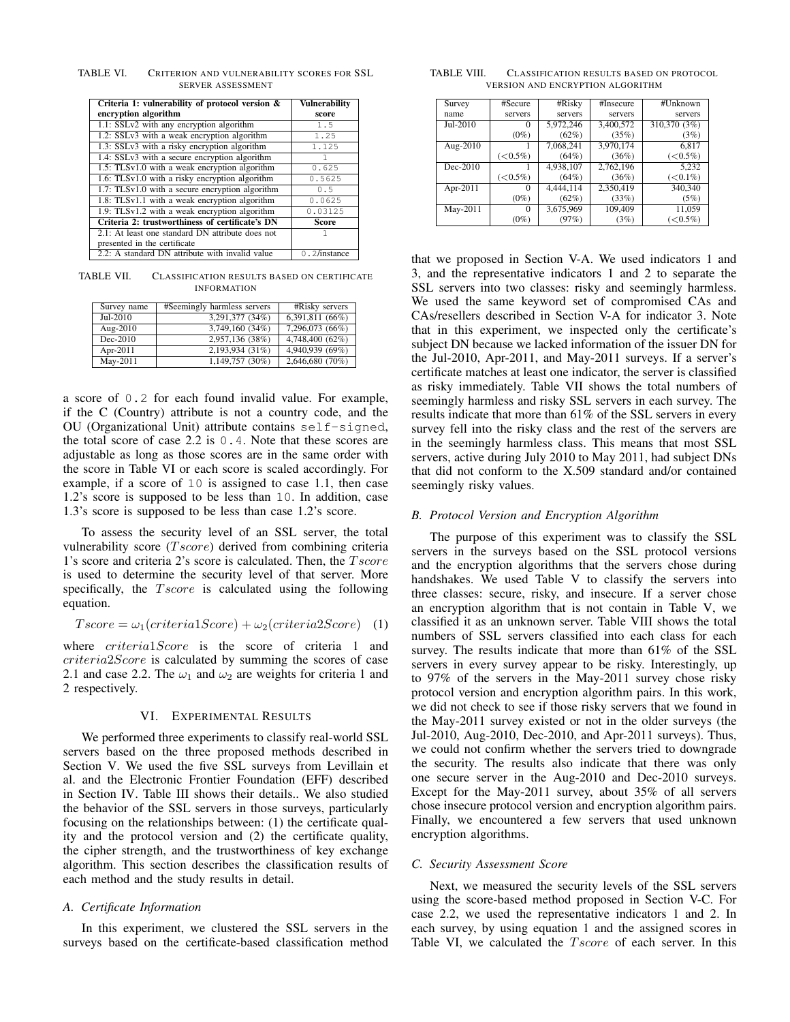TABLE VI. CRITERION AND VULNERABILITY SCORES FOR SSL SERVER ASSESSMENT

| Criteria 1: vulnerability of protocol version &  | <b>Vulnerability</b> |
|--------------------------------------------------|----------------------|
| encryption algorithm                             | score                |
| 1.1: SSLv2 with any encryption algorithm         | 1.5                  |
| 1.2: SSLv3 with a weak encryption algorithm      | 1.25                 |
| 1.3: SSLv3 with a risky encryption algorithm     | 1.125                |
| 1.4: SSLv3 with a secure encryption algorithm    | 1                    |
| 1.5: TLSv1.0 with a weak encryption algorithm    | 0.625                |
| 1.6: TLSv1.0 with a risky encryption algorithm   | 0.5625               |
| 1.7: TLSv1.0 with a secure encryption algorithm  | 0.5                  |
| 1.8: TLSv1.1 with a weak encryption algorithm    | 0.0625               |
| 1.9: TLSv1.2 with a weak encryption algorithm    | 0.03125              |
| Criteria 2: trustworthiness of certificate's DN  | Score                |
| 2.1: At least one standard DN attribute does not | 1                    |
| presented in the certificate                     |                      |
| 2.2: A standard DN attribute with invalid value  | $0.2$ /instance      |

TABLE VII. CLASSIFICATION RESULTS BASED ON CERTIFICATE INFORMATION

| Survey name | #Seemingly harmless servers | #Risky servers  |
|-------------|-----------------------------|-----------------|
| $Jul-2010$  | 3,291,377 (34%)             | 6,391,811 (66%) |
| Aug-2010    | 3,749,160 (34%)             | 7,296,073 (66%) |
| $Dec-2010$  | 2,957,136 (38%)             | 4,748,400 (62%) |
| Apr-2011    | 2.193.934 (31%)             | 4,940,939 (69%) |
| May-2011    | 1,149,757 (30%)             | 2,646,680 (70%) |
|             |                             |                 |

a score of 0.2 for each found invalid value. For example, if the C (Country) attribute is not a country code, and the OU (Organizational Unit) attribute contains self-signed, the total score of case 2.2 is 0.4. Note that these scores are adjustable as long as those scores are in the same order with the score in Table VI or each score is scaled accordingly. For example, if a score of 10 is assigned to case 1.1, then case 1.2's score is supposed to be less than 10. In addition, case 1.3's score is supposed to be less than case 1.2's score.

To assess the security level of an SSL server, the total vulnerability score  $(Tscore)$  derived from combining criteria 1's score and criteria 2's score is calculated. Then, the T score is used to determine the security level of that server. More specifically, the  $T score$  is calculated using the following equation.

$$
Tscore = \omega_1(criteria1Score) + \omega_2(criteria2Score) \quad (1)
$$

where *criteria1Score* is the score of criteria 1 and criteria2Score is calculated by summing the scores of case 2.1 and case 2.2. The  $\omega_1$  and  $\omega_2$  are weights for criteria 1 and 2 respectively.

# VI. EXPERIMENTAL RESULTS

We performed three experiments to classify real-world SSL servers based on the three proposed methods described in Section V. We used the five SSL surveys from Levillain et al. and the Electronic Frontier Foundation (EFF) described in Section IV. Table III shows their details.. We also studied the behavior of the SSL servers in those surveys, particularly focusing on the relationships between: (1) the certificate quality and the protocol version and (2) the certificate quality, the cipher strength, and the trustworthiness of key exchange algorithm. This section describes the classification results of each method and the study results in detail.

#### *A. Certificate Information*

In this experiment, we clustered the SSL servers in the surveys based on the certificate-based classification method

#### TABLE VIII. CLASSIFICATION RESULTS BASED ON PROTOCOL VERSION AND ENCRYPTION ALGORITHM

| Survey   | #Secure    | #Risky    | #Insecure | #Unknown     |
|----------|------------|-----------|-----------|--------------|
| name     | servers    | servers   | servers   | servers      |
| Jul-2010 | $\Omega$   | 5,972,246 | 3,400,572 | 310,370 (3%) |
|          | $(0\%)$    | (62%)     | (35%)     | (3%)         |
| Aug-2010 |            | 7,068,241 | 3,970,174 | 6,817        |
|          | $(<0.5\%)$ | (64%)     | (36%)     | $(<0.5\%)$   |
| Dec-2010 |            | 4.938.107 | 2,762,196 | 5,232        |
|          | $(<0.5\%)$ | (64%)     | (36%)     | $(<0.1\%)$   |
| Apr-2011 | $\Omega$   | 4,444,114 | 2.350.419 | 340,340      |
|          | $(0\%)$    | $(62\%)$  | (33%)     | (5%)         |
| May-2011 | $^{(1)}$   | 3,675,969 | 109,409   | 11,059       |
|          | $(0\%)$    | (97%)     | (3%)      | $(<0.5\%)$   |

that we proposed in Section V-A. We used indicators 1 and 3, and the representative indicators 1 and 2 to separate the SSL servers into two classes: risky and seemingly harmless. We used the same keyword set of compromised CAs and CAs/resellers described in Section V-A for indicator 3. Note that in this experiment, we inspected only the certificate's subject DN because we lacked information of the issuer DN for the Jul-2010, Apr-2011, and May-2011 surveys. If a server's certificate matches at least one indicator, the server is classified as risky immediately. Table VII shows the total numbers of seemingly harmless and risky SSL servers in each survey. The results indicate that more than 61% of the SSL servers in every survey fell into the risky class and the rest of the servers are in the seemingly harmless class. This means that most SSL servers, active during July 2010 to May 2011, had subject DNs that did not conform to the X.509 standard and/or contained seemingly risky values.

# *B. Protocol Version and Encryption Algorithm*

The purpose of this experiment was to classify the SSL servers in the surveys based on the SSL protocol versions and the encryption algorithms that the servers chose during handshakes. We used Table V to classify the servers into three classes: secure, risky, and insecure. If a server chose an encryption algorithm that is not contain in Table V, we classified it as an unknown server. Table VIII shows the total numbers of SSL servers classified into each class for each survey. The results indicate that more than 61% of the SSL servers in every survey appear to be risky. Interestingly, up to 97% of the servers in the May-2011 survey chose risky protocol version and encryption algorithm pairs. In this work, we did not check to see if those risky servers that we found in the May-2011 survey existed or not in the older surveys (the Jul-2010, Aug-2010, Dec-2010, and Apr-2011 surveys). Thus, we could not confirm whether the servers tried to downgrade the security. The results also indicate that there was only one secure server in the Aug-2010 and Dec-2010 surveys. Except for the May-2011 survey, about 35% of all servers chose insecure protocol version and encryption algorithm pairs. Finally, we encountered a few servers that used unknown encryption algorithms.

#### *C. Security Assessment Score*

Next, we measured the security levels of the SSL servers using the score-based method proposed in Section V-C. For case 2.2, we used the representative indicators 1 and 2. In each survey, by using equation 1 and the assigned scores in Table VI, we calculated the *T* score of each server. In this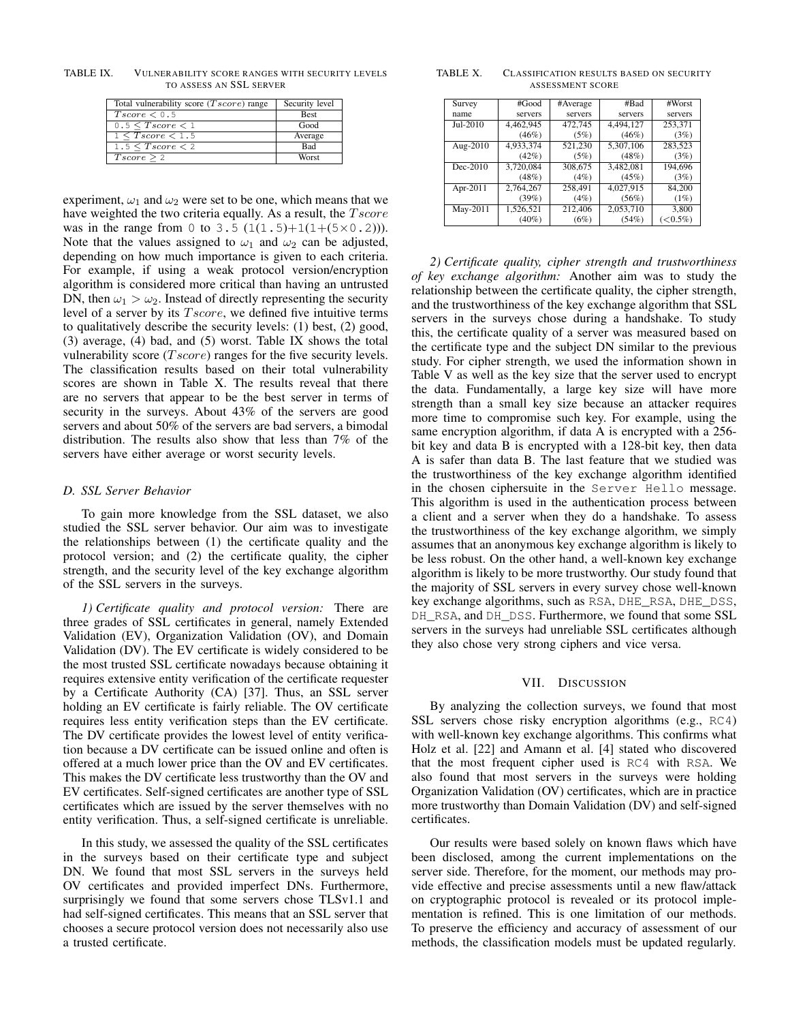TABLE IX. VULNERABILITY SCORE RANGES WITH SECURITY LEVELS TO ASSESS AN SSL SERVER

| Total vulnerability score $(Tscore)$ range | Security level |
|--------------------------------------------|----------------|
| Tscore < 0.5                               | <b>Best</b>    |
| $0.5 \leq Tscore \leq 1$                   | Good           |
| $1 \leq Tscore \leq 1.5$                   | Average        |
| $1.5 \leq Tscore \leq 2$                   | <b>Bad</b>     |
| $Tscore \geq 2$                            | <b>Worst</b>   |

experiment,  $\omega_1$  and  $\omega_2$  were set to be one, which means that we have weighted the two criteria equally. As a result, the  $Tscore$ was in the range from 0 to 3.5  $(1(1.5) + 1(1+(5 \times 0.2)))$ . Note that the values assigned to  $\omega_1$  and  $\omega_2$  can be adjusted, depending on how much importance is given to each criteria. For example, if using a weak protocol version/encryption algorithm is considered more critical than having an untrusted DN, then  $\omega_1 > \omega_2$ . Instead of directly representing the security level of a server by its  $T score$ , we defined five intuitive terms to qualitatively describe the security levels: (1) best, (2) good, (3) average, (4) bad, and (5) worst. Table IX shows the total vulnerability score  $(Tscore)$  ranges for the five security levels. The classification results based on their total vulnerability scores are shown in Table X. The results reveal that there are no servers that appear to be the best server in terms of security in the surveys. About 43% of the servers are good servers and about 50% of the servers are bad servers, a bimodal distribution. The results also show that less than 7% of the servers have either average or worst security levels.

## *D. SSL Server Behavior*

To gain more knowledge from the SSL dataset, we also studied the SSL server behavior. Our aim was to investigate the relationships between (1) the certificate quality and the protocol version; and (2) the certificate quality, the cipher strength, and the security level of the key exchange algorithm of the SSL servers in the surveys.

*1) Certificate quality and protocol version:* There are three grades of SSL certificates in general, namely Extended Validation (EV), Organization Validation (OV), and Domain Validation (DV). The EV certificate is widely considered to be the most trusted SSL certificate nowadays because obtaining it requires extensive entity verification of the certificate requester by a Certificate Authority (CA) [37]. Thus, an SSL server holding an EV certificate is fairly reliable. The OV certificate requires less entity verification steps than the EV certificate. The DV certificate provides the lowest level of entity verification because a DV certificate can be issued online and often is offered at a much lower price than the OV and EV certificates. This makes the DV certificate less trustworthy than the OV and EV certificates. Self-signed certificates are another type of SSL certificates which are issued by the server themselves with no entity verification. Thus, a self-signed certificate is unreliable.

In this study, we assessed the quality of the SSL certificates in the surveys based on their certificate type and subject DN. We found that most SSL servers in the surveys held OV certificates and provided imperfect DNs. Furthermore, surprisingly we found that some servers chose TLSv1.1 and had self-signed certificates. This means that an SSL server that chooses a secure protocol version does not necessarily also use a trusted certificate.

#### TABLE X. CLASSIFICATION RESULTS BASED ON SECURITY ASSESSMENT SCORE

| Survey     | #Good     | #Average | #Bad      | #Worst     |
|------------|-----------|----------|-----------|------------|
| name       | servers   | servers  | servers   | servers    |
| Jul-2010   | 4.462.945 | 472,745  | 4.494.127 | 253,371    |
|            | (46%)     | (5%)     | (46%)     | (3%)       |
| Aug-2010   | 4.933.374 | 521.230  | 5.307.106 | 283,523    |
|            | (42%)     | (5%)     | (48%)     | (3%)       |
| $Dec-2010$ | 3,720,084 | 308,675  | 3,482,081 | 194,696    |
|            | (48%)     | (4%)     | (45%)     | (3%)       |
| Apr-2011   | 2,764,267 | 258,491  | 4,027,915 | 84,200     |
|            | (39%)     | (4%)     | (56%)     | (1%)       |
| May-2011   | 1,526,521 | 212,406  | 2,053,710 | 3,800      |
|            | $(40\%)$  | (6%)     | (54%)     | $(<0.5\%)$ |

*2) Certificate quality, cipher strength and trustworthiness of key exchange algorithm:* Another aim was to study the relationship between the certificate quality, the cipher strength, and the trustworthiness of the key exchange algorithm that SSL servers in the surveys chose during a handshake. To study this, the certificate quality of a server was measured based on the certificate type and the subject DN similar to the previous study. For cipher strength, we used the information shown in Table V as well as the key size that the server used to encrypt the data. Fundamentally, a large key size will have more strength than a small key size because an attacker requires more time to compromise such key. For example, using the same encryption algorithm, if data A is encrypted with a 256 bit key and data B is encrypted with a 128-bit key, then data A is safer than data B. The last feature that we studied was the trustworthiness of the key exchange algorithm identified in the chosen ciphersuite in the Server Hello message. This algorithm is used in the authentication process between a client and a server when they do a handshake. To assess the trustworthiness of the key exchange algorithm, we simply assumes that an anonymous key exchange algorithm is likely to be less robust. On the other hand, a well-known key exchange algorithm is likely to be more trustworthy. Our study found that the majority of SSL servers in every survey chose well-known key exchange algorithms, such as RSA, DHE\_RSA, DHE\_DSS, DH\_RSA, and DH\_DSS. Furthermore, we found that some SSL servers in the surveys had unreliable SSL certificates although they also chose very strong ciphers and vice versa.

#### VII. DISCUSSION

By analyzing the collection surveys, we found that most SSL servers chose risky encryption algorithms (e.g., RC4) with well-known key exchange algorithms. This confirms what Holz et al. [22] and Amann et al. [4] stated who discovered that the most frequent cipher used is RC4 with RSA. We also found that most servers in the surveys were holding Organization Validation (OV) certificates, which are in practice more trustworthy than Domain Validation (DV) and self-signed certificates.

Our results were based solely on known flaws which have been disclosed, among the current implementations on the server side. Therefore, for the moment, our methods may provide effective and precise assessments until a new flaw/attack on cryptographic protocol is revealed or its protocol implementation is refined. This is one limitation of our methods. To preserve the efficiency and accuracy of assessment of our methods, the classification models must be updated regularly.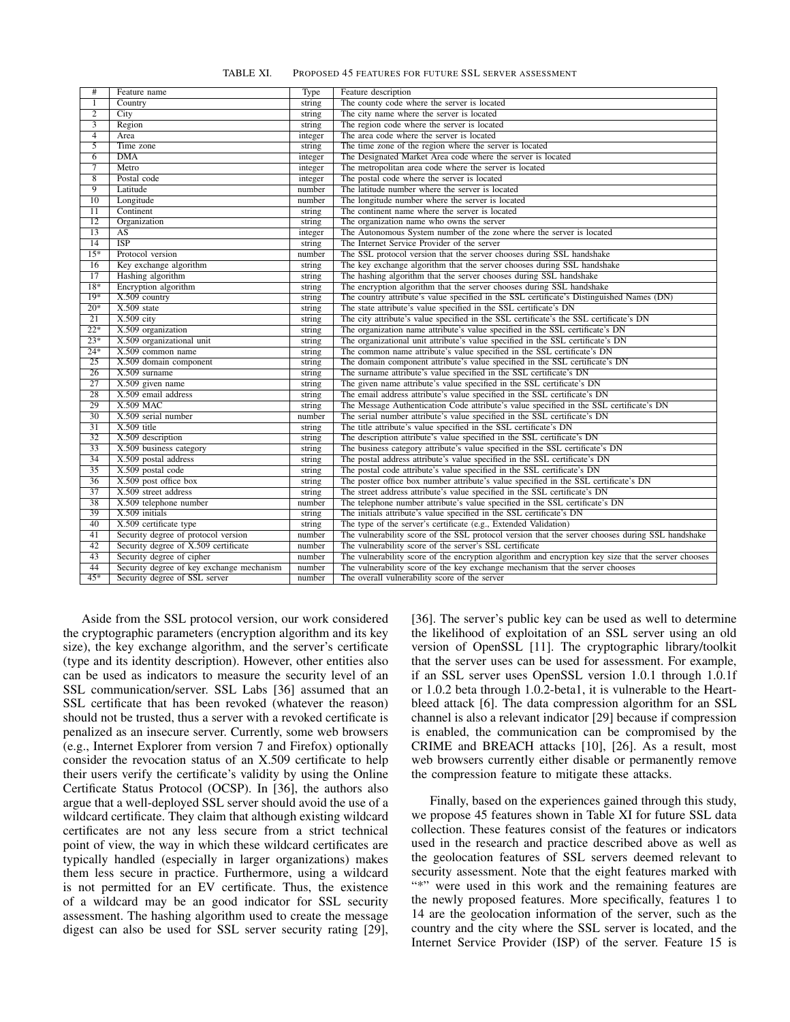#### TABLE XI. PROPOSED 45 FEATURES FOR FUTURE SSL SERVER ASSESSMENT

| $\#$            | Feature name                              | Type    | Feature description                                                                                 |
|-----------------|-------------------------------------------|---------|-----------------------------------------------------------------------------------------------------|
| $\overline{1}$  | Country                                   | string  | The county code where the server is located                                                         |
| $\overline{2}$  | City                                      | string  | The city name where the server is located                                                           |
| 3               | Region                                    | string  | The region code where the server is located                                                         |
| $\overline{4}$  | Area                                      | integer | The area code where the server is located                                                           |
| $\overline{5}$  | Time zone                                 | string  | The time zone of the region where the server is located                                             |
| 6               | <b>DMA</b>                                | integer | The Designated Market Area code where the server is located                                         |
| $\overline{7}$  | Metro                                     | integer | The metropolitan area code where the server is located                                              |
| $\overline{8}$  | Postal code                               | integer | The postal code where the server is located                                                         |
| 9               | Latitude                                  | number  | The latitude number where the server is located                                                     |
| 10              | Longitude                                 | number  | The longitude number where the server is located                                                    |
| 11              | Continent                                 | string  | The continent name where the server is located                                                      |
| 12              | Organization                              | string  | The organization name who owns the server                                                           |
| 13              | AS                                        | integer | The Autonomous System number of the zone where the server is located                                |
| $\overline{14}$ | <b>ISP</b>                                | string  | The Internet Service Provider of the server                                                         |
| $15*$           | Protocol version                          | number  | The SSL protocol version that the server chooses during SSL handshake                               |
| 16              | Key exchange algorithm                    | string  | The key exchange algorithm that the server chooses during SSL handshake                             |
| 17              | Hashing algorithm                         | string  | The hashing algorithm that the server chooses during SSL handshake                                  |
| $18*$           | Encryption algorithm                      | string  | The encryption algorithm that the server chooses during SSL handshake                               |
| $19*$           | X.509 country                             | string  | The country attribute's value specified in the SSL certificate's Distinguished Names (DN)           |
| $20*$           | $X.509$ state                             | string  | The state attribute's value specified in the SSL certificate's DN                                   |
| $\overline{21}$ | $X.509$ city                              | string  | The city attribute's value specified in the SSL certificate's the SSL certificate's DN              |
| $22*$           | X.509 organization                        | string  | The organization name attribute's value specified in the SSL certificate's DN                       |
| $23*$           | X.509 organizational unit                 | string  | The organizational unit attribute's value specified in the SSL certificate's DN                     |
| $24*$           | X.509 common name                         | string  | The common name attribute's value specified in the SSL certificate's DN                             |
| $\overline{25}$ | X.509 domain component                    | string  | The domain component attribute's value specified in the SSL certificate's DN                        |
| 26              | X.509 surname                             | string  | The surname attribute's value specified in the SSL certificate's DN                                 |
| $\overline{27}$ | X.509 given name                          | string  | The given name attribute's value specified in the SSL certificate's DN                              |
| $\overline{28}$ | X.509 email address                       | string  | The email address attribute's value specified in the SSL certificate's DN                           |
| 29              | <b>X.509 MAC</b>                          | string  | The Message Authentication Code attribute's value specified in the SSL certificate's DN             |
| $\overline{30}$ | X.509 serial number                       | number  | The serial number attribute's value specified in the SSL certificate's DN                           |
| 31              | $X.509$ title                             | string  | The title attribute's value specified in the SSL certificate's DN                                   |
| 32              | X.509 description                         | string  | The description attribute's value specified in the SSL certificate's DN                             |
| $\overline{33}$ | X.509 business category                   | string  | The business category attribute's value specified in the SSL certificate's DN                       |
| 34              | X.509 postal address                      | string  | The postal address attribute's value specified in the SSL certificate's DN                          |
| $\overline{35}$ | X.509 postal code                         | string  | The postal code attribute's value specified in the SSL certificate's DN                             |
| $\overline{36}$ | X.509 post office box                     | string  | The poster office box number attribute's value specified in the SSL certificate's DN                |
| $\overline{37}$ | X.509 street address                      | string  | The street address attribute's value specified in the SSL certificate's DN                          |
| $\overline{38}$ | X.509 telephone number                    | number  | The telephone number attribute's value specified in the SSL certificate's DN                        |
| 39              | X.509 initials                            | string  | The initials attribute's value specified in the SSL certificate's DN                                |
| 40              | X.509 certificate type                    | string  | The type of the server's certificate (e.g., Extended Validation)                                    |
| 41              | Security degree of protocol version       | number  | The vulnerability score of the SSL protocol version that the server chooses during SSL handshake    |
| 42              | Security degree of X.509 certificate      | number  | The vulnerability score of the server's SSL certificate                                             |
| $\overline{43}$ | Security degree of cipher                 | number  | The vulnerability score of the encryption algorithm and encryption key size that the server chooses |
| $\overline{44}$ | Security degree of key exchange mechanism | number  | The vulnerability score of the key exchange mechanism that the server chooses                       |
| 45*             | Security degree of SSL server             | number  | The overall vulnerability score of the server                                                       |

Aside from the SSL protocol version, our work considered the cryptographic parameters (encryption algorithm and its key size), the key exchange algorithm, and the server's certificate (type and its identity description). However, other entities also can be used as indicators to measure the security level of an SSL communication/server. SSL Labs [36] assumed that an SSL certificate that has been revoked (whatever the reason) should not be trusted, thus a server with a revoked certificate is penalized as an insecure server. Currently, some web browsers (e.g., Internet Explorer from version 7 and Firefox) optionally consider the revocation status of an X.509 certificate to help their users verify the certificate's validity by using the Online Certificate Status Protocol (OCSP). In [36], the authors also argue that a well-deployed SSL server should avoid the use of a wildcard certificate. They claim that although existing wildcard certificates are not any less secure from a strict technical point of view, the way in which these wildcard certificates are typically handled (especially in larger organizations) makes them less secure in practice. Furthermore, using a wildcard is not permitted for an EV certificate. Thus, the existence of a wildcard may be an good indicator for SSL security assessment. The hashing algorithm used to create the message digest can also be used for SSL server security rating [29], [36]. The server's public key can be used as well to determine the likelihood of exploitation of an SSL server using an old version of OpenSSL [11]. The cryptographic library/toolkit that the server uses can be used for assessment. For example, if an SSL server uses OpenSSL version 1.0.1 through 1.0.1f or 1.0.2 beta through 1.0.2-beta1, it is vulnerable to the Heartbleed attack [6]. The data compression algorithm for an SSL channel is also a relevant indicator [29] because if compression is enabled, the communication can be compromised by the CRIME and BREACH attacks [10], [26]. As a result, most web browsers currently either disable or permanently remove the compression feature to mitigate these attacks.

Finally, based on the experiences gained through this study, we propose 45 features shown in Table XI for future SSL data collection. These features consist of the features or indicators used in the research and practice described above as well as the geolocation features of SSL servers deemed relevant to security assessment. Note that the eight features marked with "\*" were used in this work and the remaining features are the newly proposed features. More specifically, features 1 to 14 are the geolocation information of the server, such as the country and the city where the SSL server is located, and the Internet Service Provider (ISP) of the server. Feature 15 is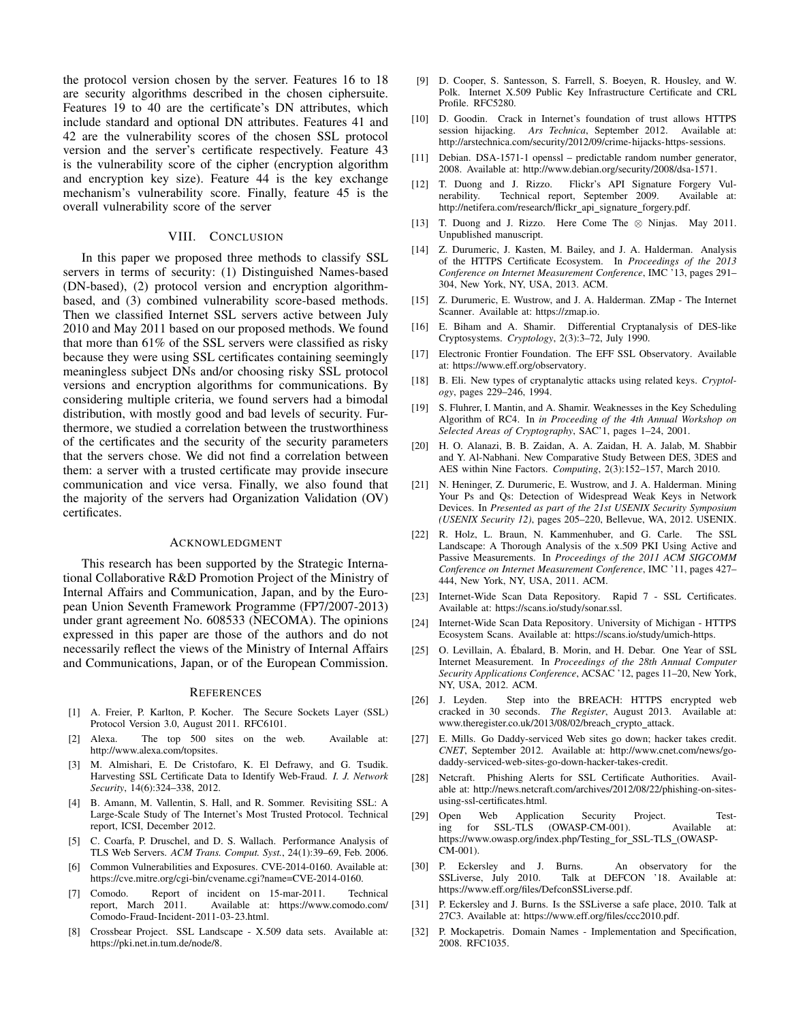the protocol version chosen by the server. Features 16 to 18 are security algorithms described in the chosen ciphersuite. Features 19 to 40 are the certificate's DN attributes, which include standard and optional DN attributes. Features 41 and 42 are the vulnerability scores of the chosen SSL protocol version and the server's certificate respectively. Feature 43 is the vulnerability score of the cipher (encryption algorithm and encryption key size). Feature 44 is the key exchange mechanism's vulnerability score. Finally, feature 45 is the overall vulnerability score of the server

## VIII. CONCLUSION

In this paper we proposed three methods to classify SSL servers in terms of security: (1) Distinguished Names-based (DN-based), (2) protocol version and encryption algorithmbased, and (3) combined vulnerability score-based methods. Then we classified Internet SSL servers active between July 2010 and May 2011 based on our proposed methods. We found that more than 61% of the SSL servers were classified as risky because they were using SSL certificates containing seemingly meaningless subject DNs and/or choosing risky SSL protocol versions and encryption algorithms for communications. By considering multiple criteria, we found servers had a bimodal distribution, with mostly good and bad levels of security. Furthermore, we studied a correlation between the trustworthiness of the certificates and the security of the security parameters that the servers chose. We did not find a correlation between them: a server with a trusted certificate may provide insecure communication and vice versa. Finally, we also found that the majority of the servers had Organization Validation (OV) certificates.

#### ACKNOWLEDGMENT

This research has been supported by the Strategic International Collaborative R&D Promotion Project of the Ministry of Internal Affairs and Communication, Japan, and by the European Union Seventh Framework Programme (FP7/2007-2013) under grant agreement No. 608533 (NECOMA). The opinions expressed in this paper are those of the authors and do not necessarily reflect the views of the Ministry of Internal Affairs and Communications, Japan, or of the European Commission.

#### **REFERENCES**

- [1] A. Freier, P. Karlton, P. Kocher. The Secure Sockets Layer (SSL) Protocol Version 3.0, August 2011. RFC6101.
- [2] Alexa. The top 500 sites on the web. Available at: http://www.alexa.com/topsites.
- [3] M. Almishari, E. De Cristofaro, K. El Defrawy, and G. Tsudik. Harvesting SSL Certificate Data to Identify Web-Fraud. *I. J. Network Security*, 14(6):324–338, 2012.
- [4] B. Amann, M. Vallentin, S. Hall, and R. Sommer. Revisiting SSL: A Large-Scale Study of The Internet's Most Trusted Protocol. Technical report, ICSI, December 2012.
- [5] C. Coarfa, P. Druschel, and D. S. Wallach. Performance Analysis of TLS Web Servers. *ACM Trans. Comput. Syst.*, 24(1):39–69, Feb. 2006.
- [6] Common Vulnerabilities and Exposures. CVE-2014-0160. Available at: https://cve.mitre.org/cgi-bin/cvename.cgi?name=CVE-2014-0160.
- [7] Comodo. Report of incident on 15-mar-2011. Technical report, March 2011. Available at: https://www.comodo.com/ Comodo-Fraud-Incident-2011-03-23.html.
- [8] Crossbear Project. SSL Landscape X.509 data sets. Available at: https://pki.net.in.tum.de/node/8.
- [9] D. Cooper, S. Santesson, S. Farrell, S. Boeyen, R. Housley, and W. Polk. Internet X.509 Public Key Infrastructure Certificate and CRL Profile. RFC5280.
- [10] D. Goodin. Crack in Internet's foundation of trust allows HTTPS session hijacking. *Ars Technica*, September 2012. Available at: http://arstechnica.com/security/2012/09/crime-hijacks-https-sessions.
- [11] Debian. DSA-1571-1 openssl predictable random number generator, 2008. Available at: http://www.debian.org/security/2008/dsa-1571.
- [12] T. Duong and J. Rizzo. Flickr's API Signature Forgery Vulnerability. Technical report, September 2009. Available at: http://netifera.com/research/flickr\_api\_signature\_forgery.pdf.
- [13] T. Duong and J. Rizzo. Here Come The ⊗ Ninjas. May 2011. Unpublished manuscript.
- [14] Z. Durumeric, J. Kasten, M. Bailey, and J. A. Halderman. Analysis of the HTTPS Certificate Ecosystem. In *Proceedings of the 2013 Conference on Internet Measurement Conference*, IMC '13, pages 291– 304, New York, NY, USA, 2013. ACM.
- [15] Z. Durumeric, E. Wustrow, and J. A. Halderman. ZMap The Internet Scanner. Available at: https://zmap.io.
- [16] E. Biham and A. Shamir. Differential Cryptanalysis of DES-like Cryptosystems. *Cryptology*, 2(3):3–72, July 1990.
- [17] Electronic Frontier Foundation. The EFF SSL Observatory. Available at: https://www.eff.org/observatory.
- [18] B. Eli. New types of cryptanalytic attacks using related keys. *Cryptology*, pages 229–246, 1994.
- [19] S. Fluhrer, I. Mantin, and A. Shamir. Weaknesses in the Key Scheduling Algorithm of RC4. In *in Proceeding of the 4th Annual Workshop on Selected Areas of Cryptography*, SAC'1, pages 1–24, 2001.
- [20] H. O. Alanazi, B. B. Zaidan, A. A. Zaidan, H. A. Jalab, M. Shabbir and Y. Al-Nabhani. New Comparative Study Between DES, 3DES and AES within Nine Factors. *Computing*, 2(3):152–157, March 2010.
- [21] N. Heninger, Z. Durumeric, E. Wustrow, and J. A. Halderman. Mining Your Ps and Qs: Detection of Widespread Weak Keys in Network Devices. In *Presented as part of the 21st USENIX Security Symposium (USENIX Security 12)*, pages 205–220, Bellevue, WA, 2012. USENIX.
- [22] R. Holz, L. Braun, N. Kammenhuber, and G. Carle. The SSL Landscape: A Thorough Analysis of the x.509 PKI Using Active and Passive Measurements. In *Proceedings of the 2011 ACM SIGCOMM Conference on Internet Measurement Conference*, IMC '11, pages 427– 444, New York, NY, USA, 2011. ACM.
- [23] Internet-Wide Scan Data Repository. Rapid 7 SSL Certificates. Available at: https://scans.io/study/sonar.ssl.
- [24] Internet-Wide Scan Data Repository. University of Michigan HTTPS Ecosystem Scans. Available at: https://scans.io/study/umich-https.
- [25] O. Levillain, A. Ébalard, B. Morin, and H. Debar. One Year of SSL Internet Measurement. In *Proceedings of the 28th Annual Computer Security Applications Conference*, ACSAC '12, pages 11–20, New York, NY, USA, 2012. ACM.
- [26] J. Leyden. Step into the BREACH: HTTPS encrypted web cracked in 30 seconds. *The Register*, August 2013. Available at: www.theregister.co.uk/2013/08/02/breach\_crypto\_attack.
- [27] E. Mills. Go Daddy-serviced Web sites go down; hacker takes credit. *CNET*, September 2012. Available at: http://www.cnet.com/news/godaddy-serviced-web-sites-go-down-hacker-takes-credit.
- [28] Netcraft. Phishing Alerts for SSL Certificate Authorities. Available at: http://news.netcraft.com/archives/2012/08/22/phishing-on-sitesusing-ssl-certificates.html.
- [29] Open Web Application Security Project. Testing for SSL-TLS (OWASP-CM-001). Available at: https://www.owasp.org/index.php/Testing for SSL-TLS (OWASP-CM-001).
- [30] P. Eckersley and J. Burns. An observatory for the SSLiverse, July 2010. Talk at DEFCON '18. Available at: https://www.eff.org/files/DefconSSLiverse.pdf.
- [31] P. Eckersley and J. Burns. Is the SSLiverse a safe place, 2010. Talk at 27C3. Available at: https://www.eff.org/files/ccc2010.pdf.
- [32] P. Mockapetris. Domain Names Implementation and Specification, 2008. RFC1035.